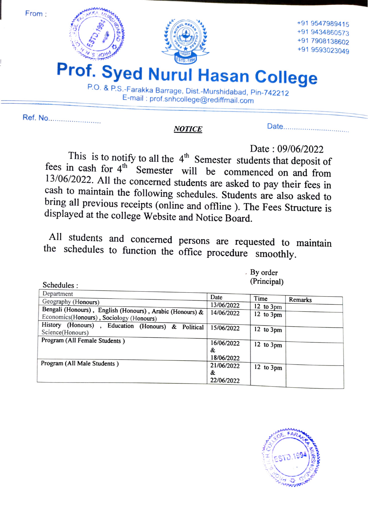

Ref. No..

Date. NOTICE

## Date :  $09/06/2022$ <br>This is to notify to all the 4<sup>th</sup> Semester students that deposit of fees in cash for  $4^{\text{th}}$  Semester will be commenced on and from 13/06/2022. All the concerned students are asked to pay their fees in cash to maintain the following schedules. Students are also asked to bring all previo

All students and concerned persons are requested to maintain the schedules to function the office procedure smoothly.

| Schedules:                                               |            | (Principal)           |         |
|----------------------------------------------------------|------------|-----------------------|---------|
| Department                                               | Date       |                       |         |
| Geography (Honours)                                      |            | Time                  | Remarks |
|                                                          | 13/06/2022 | 12 to $3 \text{pm}$   |         |
| Bengali (Honours), English (Honours), Arabic (Honours) & | 14/06/2022 | 12 to $3pm$           |         |
| Economics(Honours), Sociology (Honours)                  |            |                       |         |
| History (Honours), Education (Honours) & Political       |            |                       |         |
| Science(Honours)                                         | 15/06/2022 | $12$ to $3 \text{pm}$ |         |
|                                                          |            |                       |         |
| Program (All Female Students)                            | 16/06/2022 | $12$ to $3 \text{pm}$ |         |
|                                                          | &          |                       |         |
|                                                          |            |                       |         |
|                                                          | 18/06/2022 |                       |         |
| Program (All Male Students)                              | 21/06/2022 | $12$ to $3pm$         |         |
|                                                          | &          |                       |         |
|                                                          | 22/06/2022 |                       |         |
|                                                          |            |                       |         |

By order